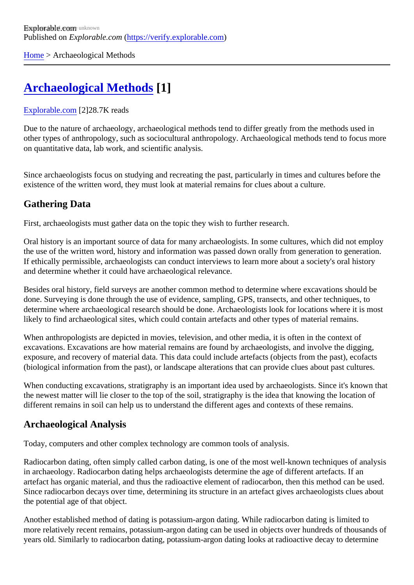[Home](https://verify.explorable.com/)> Archaeological Methods

# [Archaeological Methods](https://verify.explorable.com/archaeological-methods)[1]

#### [Explorable.com](https://verify.explorable.com/)[2]28.7K reads

Due to the nature of archaeology, archaeological methods tend to differ greatly from the methods used in other types of anthropology, such as sociocultural anthropology. Archaeological methods tend to focus more on quantitative data, lab work, and scientific analysis.

Since archaeologists focus on studying and recreating the past, particularly in times and cultures before the existence of the written word, they must look at material remains for clues about a culture.

# Gathering Data

First, archaeologists must gather data on the topic they wish to further research.

Oral history is an important source of data for many archaeologists. In some cultures, which did not employ the use of the written word, history and information was passed down orally from generation to generation If ethically permissible, archaeologists can conduct interviews to learn more about a society's oral history and determine whether it could have archaeological relevance.

Besides oral history, field surveys are another common method to determine where excavations should be done. Surveying is done through the use of evidence, sampling, GPS, transects, and other techniques, to determine where archaeological research should be done. Archaeologists look for locations where it is mo likely to find archaeological sites, which could contain artefacts and other types of material remains.

When anthropologists are depicted in movies, television, and other media, it is often in the context of excavations. Excavations are how material remains are found by archaeologists, and involve the digging, exposure, and recovery of material data. This data could include artefacts (objects from the past), ecofacts (biological information from the past), or landscape alterations that can provide clues about past cultures.

When conducting excavations, stratigraphy is an important idea used by archaeologists. Since it's known t the newest matter will lie closer to the top of the soil, stratigraphy is the idea that knowing the location of different remains in soil can help us to understand the different ages and contexts of these remains.

### Archaeological Analysis

Today, computers and other complex technology are common tools of analysis.

Radiocarbon dating, often simply called carbon dating, is one of the most well-known techniques of analys in archaeology. Radiocarbon dating helps archaeologists determine the age of different artefacts. If an artefact has organic material, and thus the radioactive element of radiocarbon, then this method can be us Since radiocarbon decays over time, determining its structure in an artefact gives archaeologists clues about the potential age of that object.

Another established method of dating is potassium-argon dating. While radiocarbon dating is limited to more relatively recent remains, potassium-argon dating can be used in objects over hundreds of thousand years old. Similarly to radiocarbon dating, potassium-argon dating looks at radioactive decay to determine